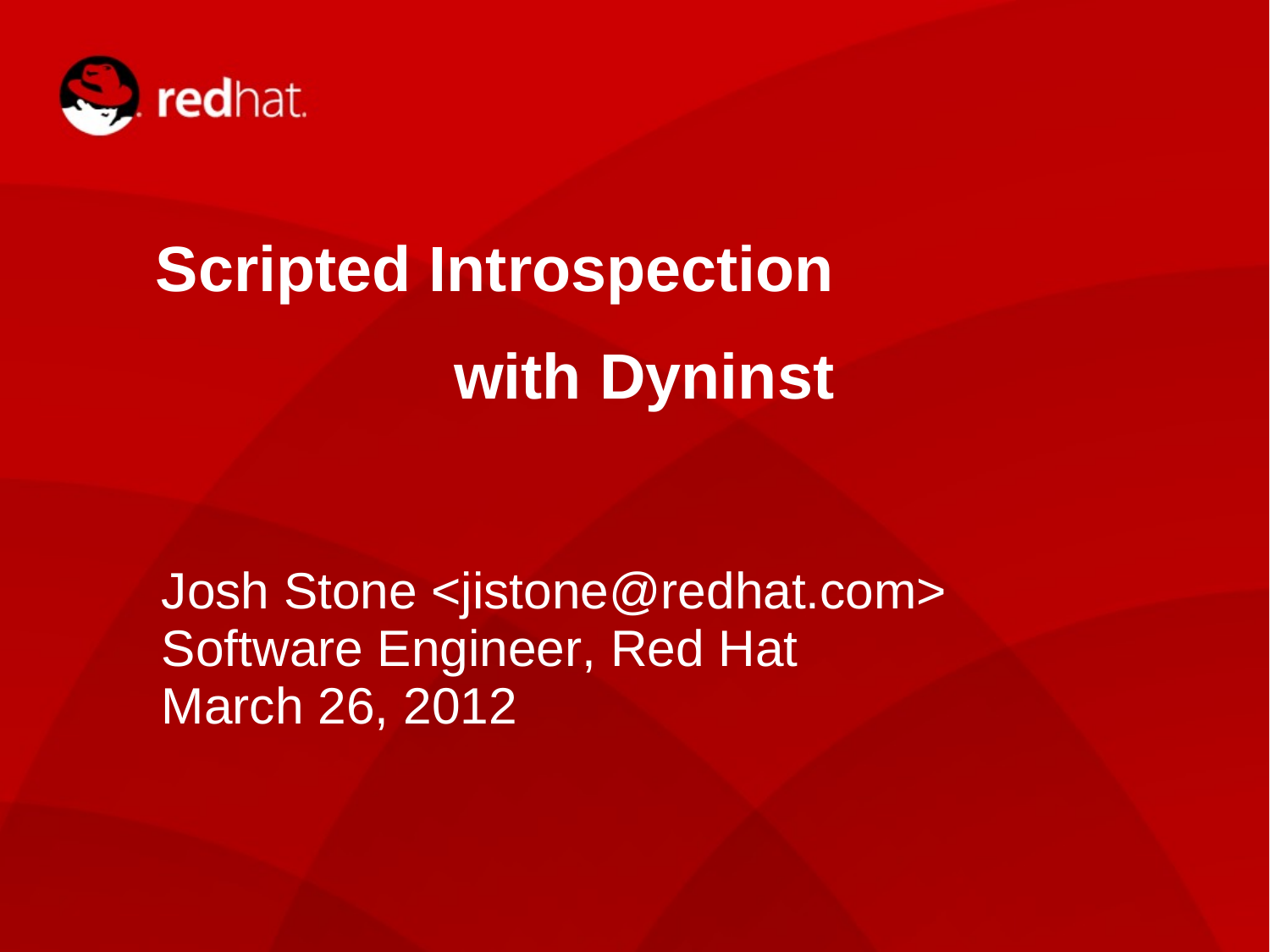

# **Scripted Introspection with Dyninst**

Josh Stone <jistone@redhat.com> Software Engineer, Red Hat March 26, 2012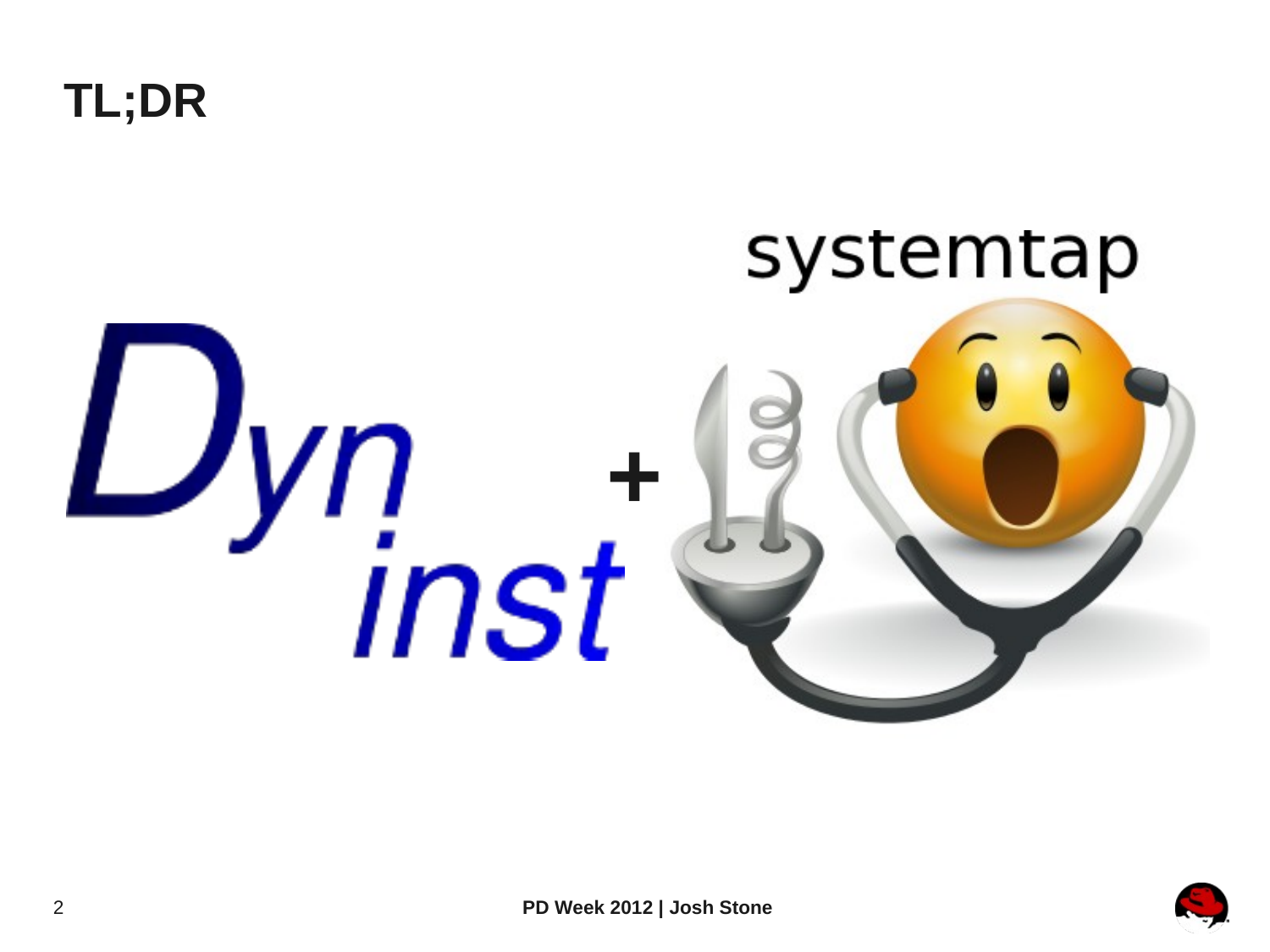### **TL;DR**



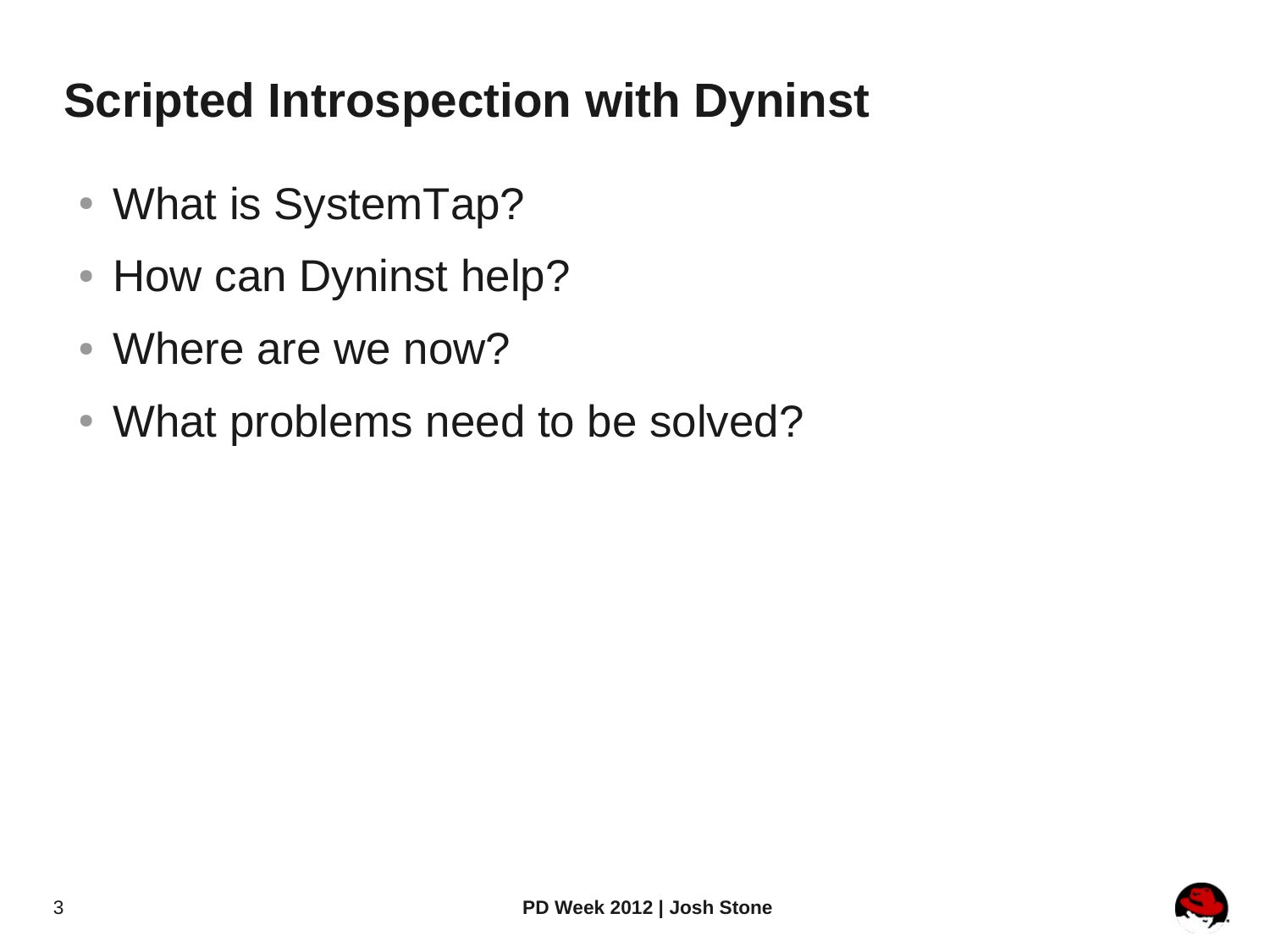# **Scripted Introspection with Dyninst**

- What is SystemTap?
- How can Dyninst help?
- Where are we now?
- What problems need to be solved?

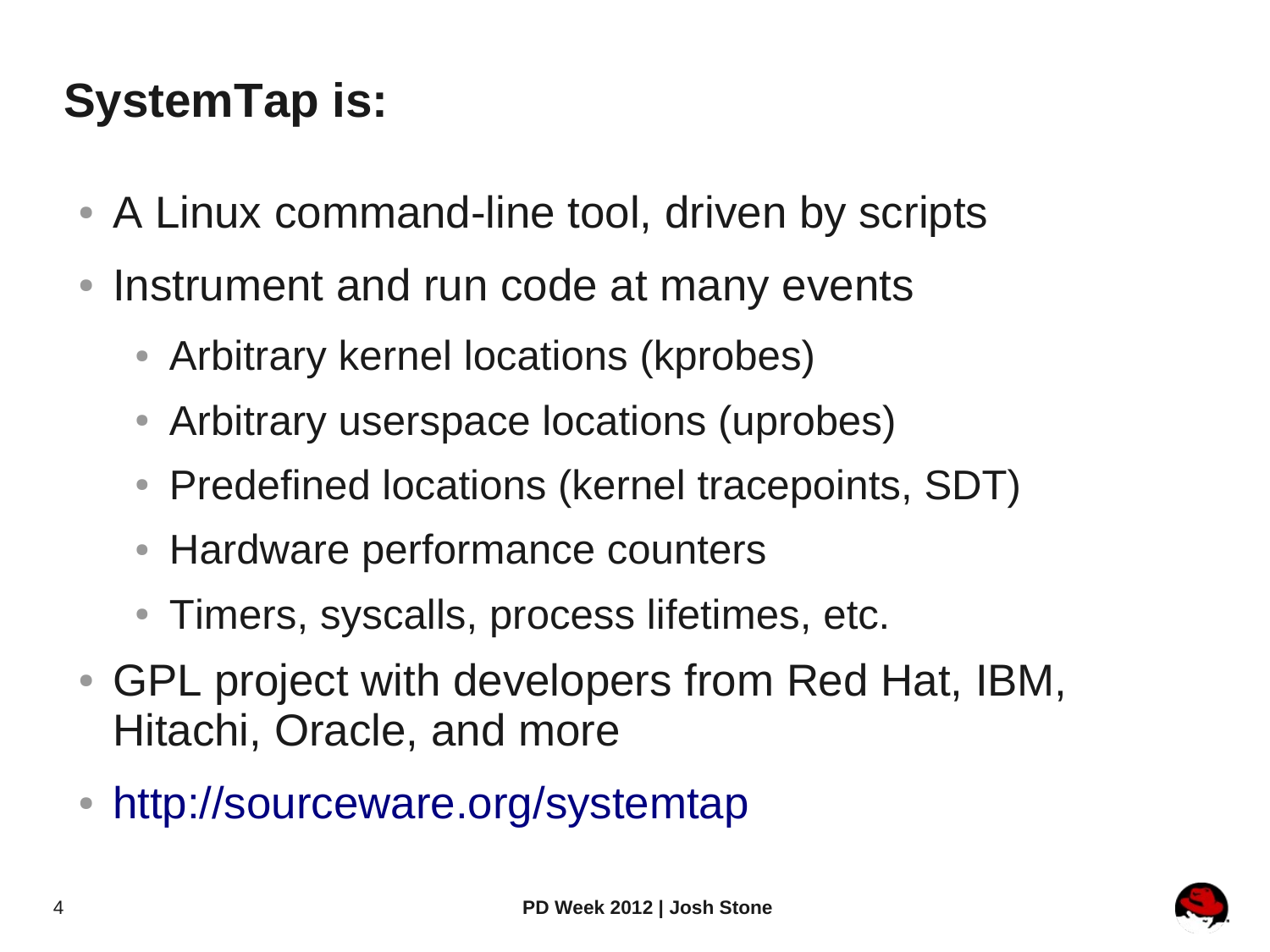# **SystemTap is:**

- A Linux command-line tool, driven by scripts
- Instrument and run code at many events
	- Arbitrary kernel locations (kprobes)
	- Arbitrary userspace locations (uprobes)
	- Predefined locations (kernel tracepoints, SDT)
	- Hardware performance counters
	- Timers, syscalls, process lifetimes, etc.
- GPL project with developers from Red Hat, IBM, Hitachi, Oracle, and more
- <http://sourceware.org/systemtap>

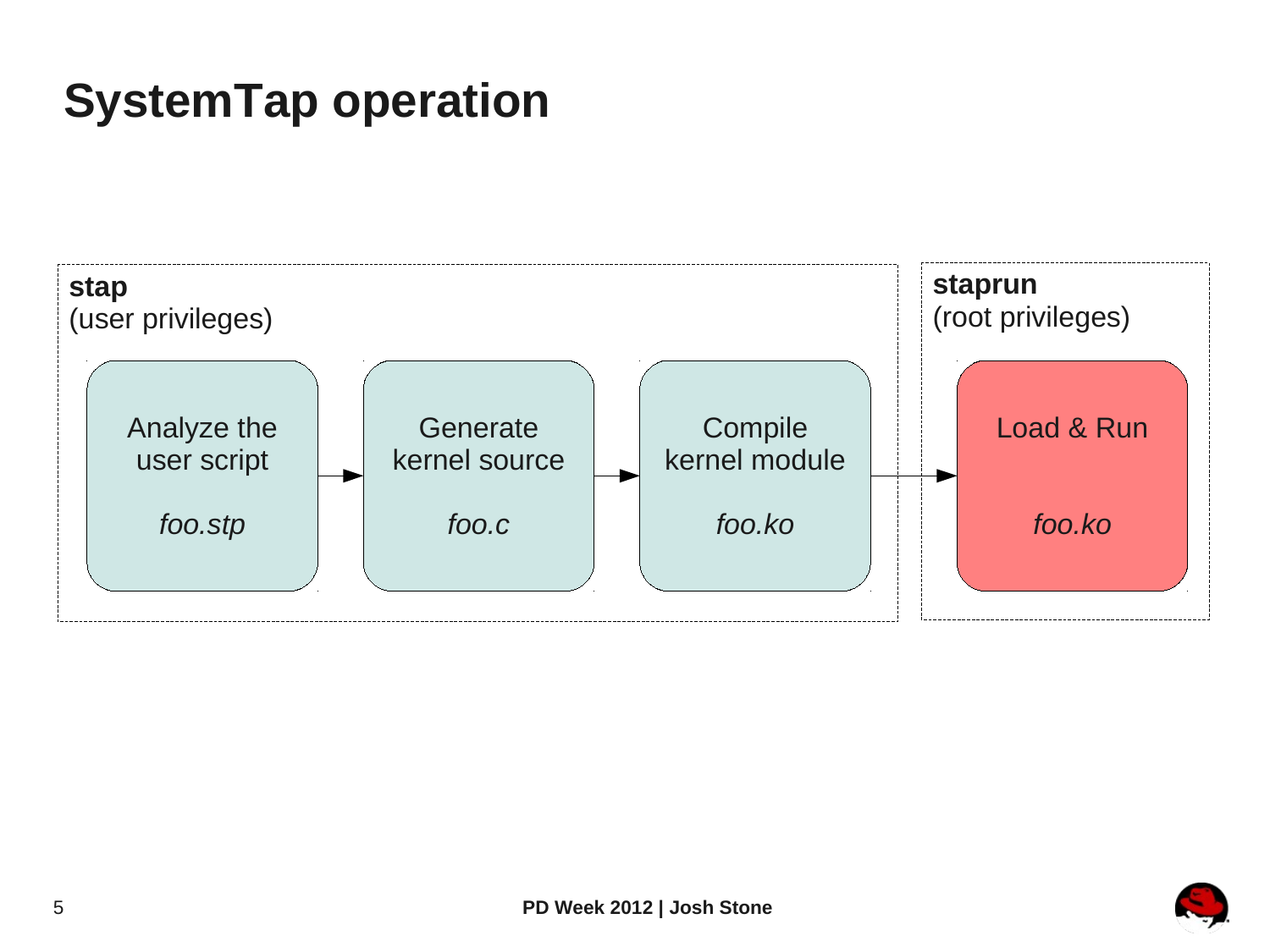### **SystemTap operation**



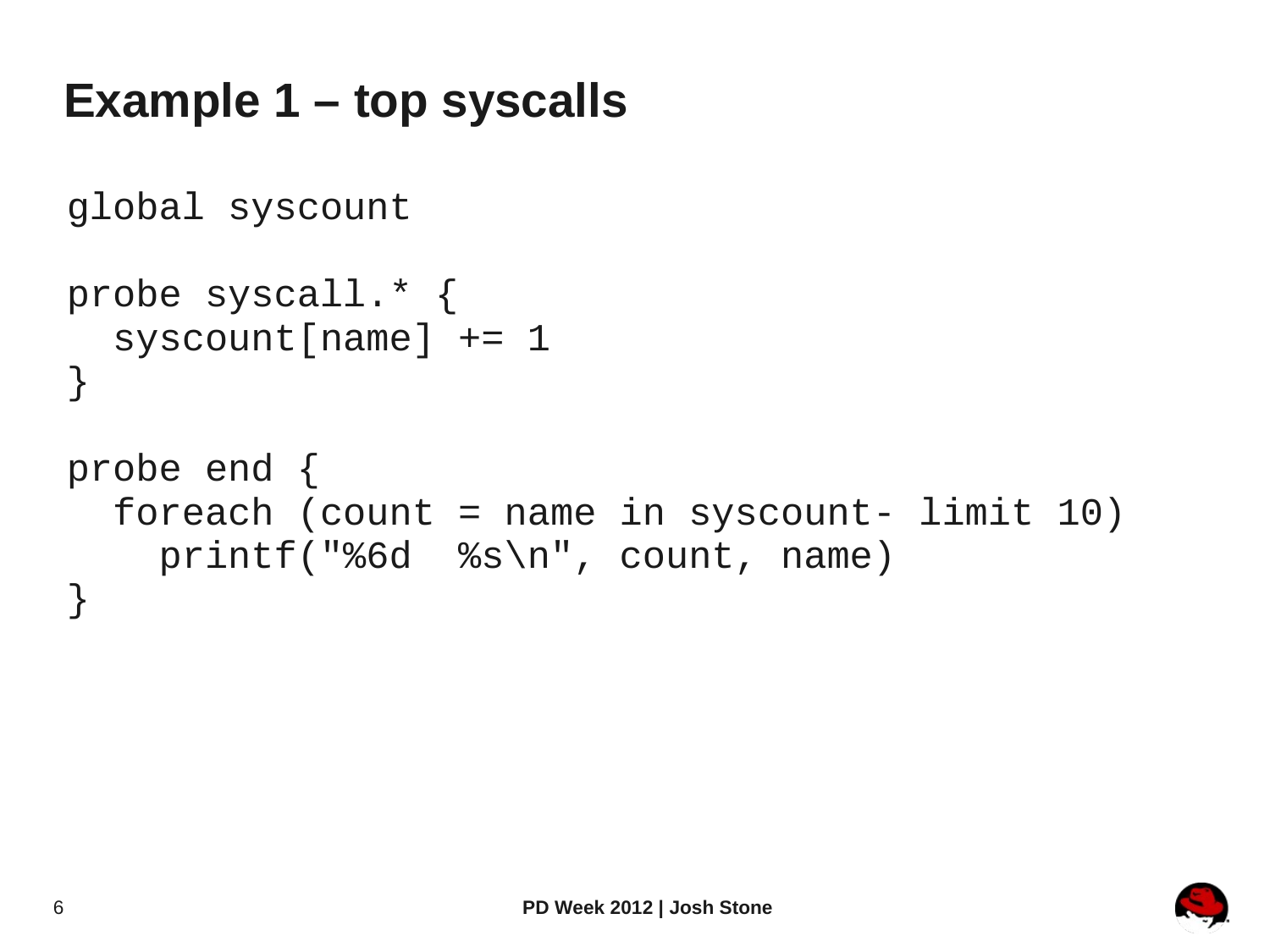### **Example 1 – top syscalls**

```
global syscount
probe syscall.* {
  syscount [name] += 1}
probe end {
  foreach (count = name in syscount- limit 10)
     printf("%6d %s\n", count, name)
}
```
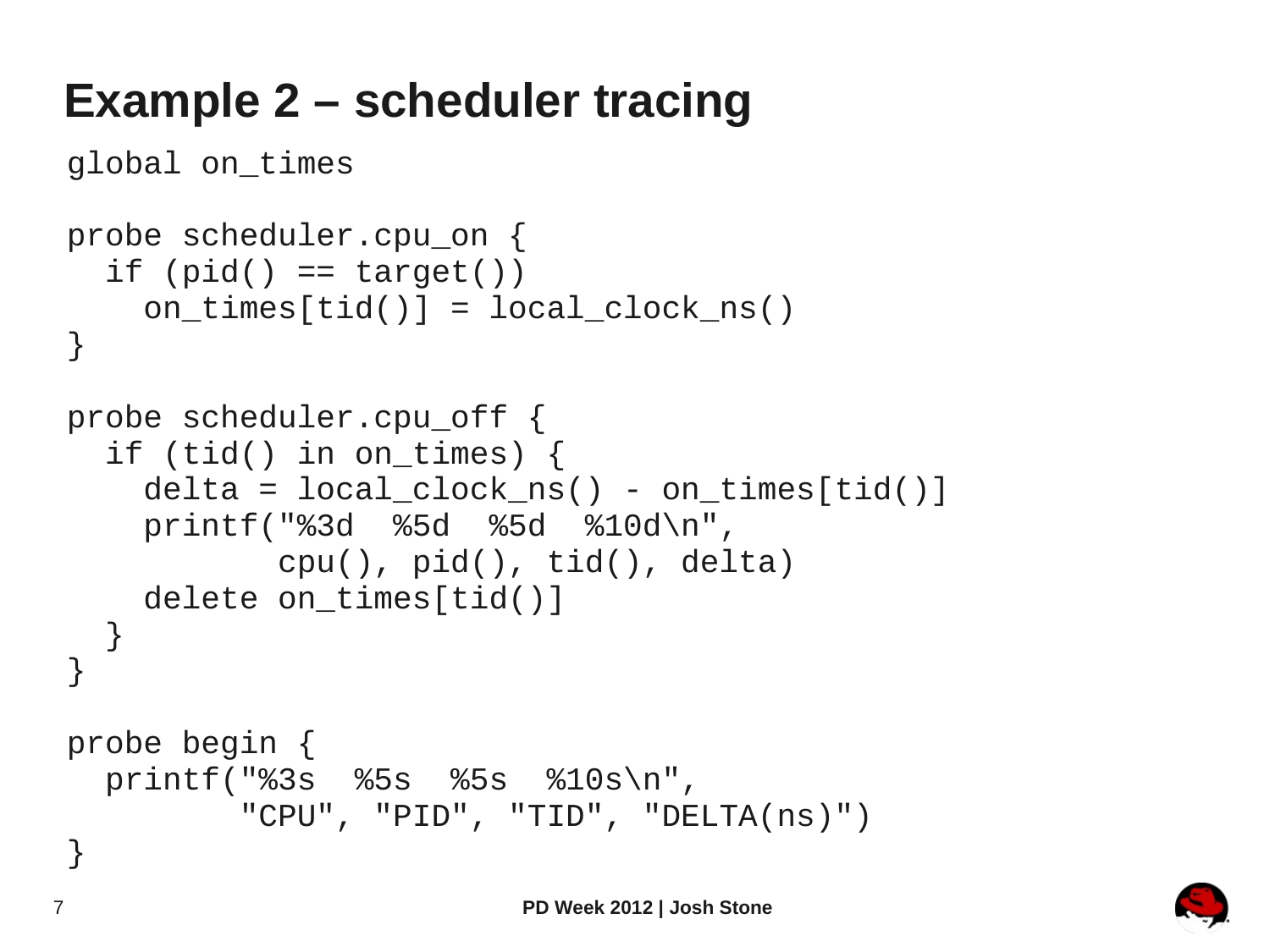## **Example 2 – scheduler tracing**

```
global on_times
```

```
probe scheduler.cpu_on {
  if (pid() == target())on_times\lceiltid()\rceil = local_clock_ns()
}
probe scheduler.cpu_off {
   if (tid() in on_times) {
    delta = local\_clock_ns() - on_timesftid() printf("%3d %5d %5d %10d\n",
            cpu(), pid(), tid(), delta)
     delete on_times[tid()]
   }
}
probe begin {
   printf("%3s %5s %5s %10s\n",
          "CPU", "PID", "TID", "DELTA(ns)")
}
```
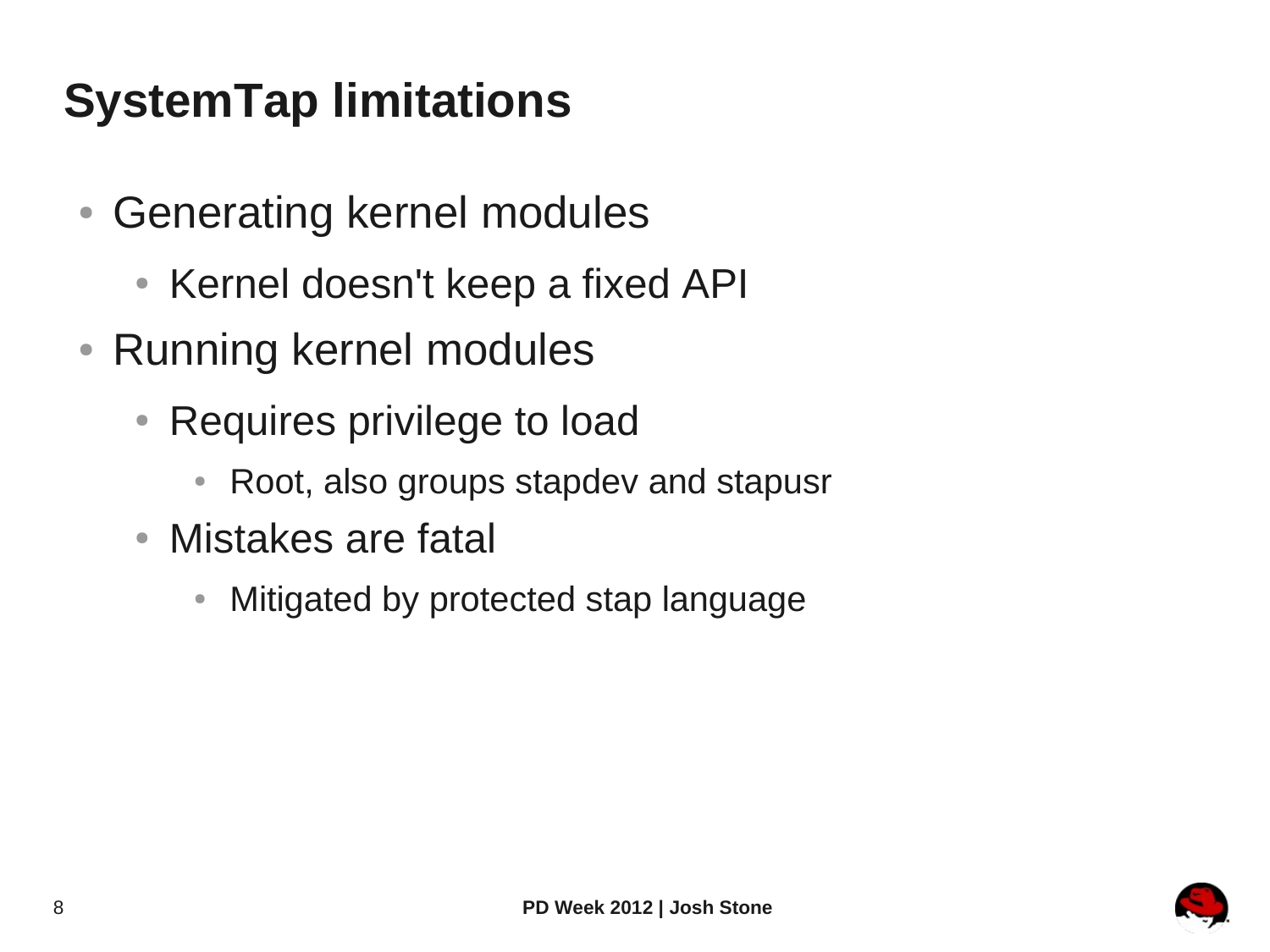# **SystemTap limitations**

- Generating kernel modules
	- Kernel doesn't keep a fixed API
- Running kernel modules
	- Requires privilege to load
		- Root, also groups stapdev and stapusr
	- Mistakes are fatal
		- Mitigated by protected stap language

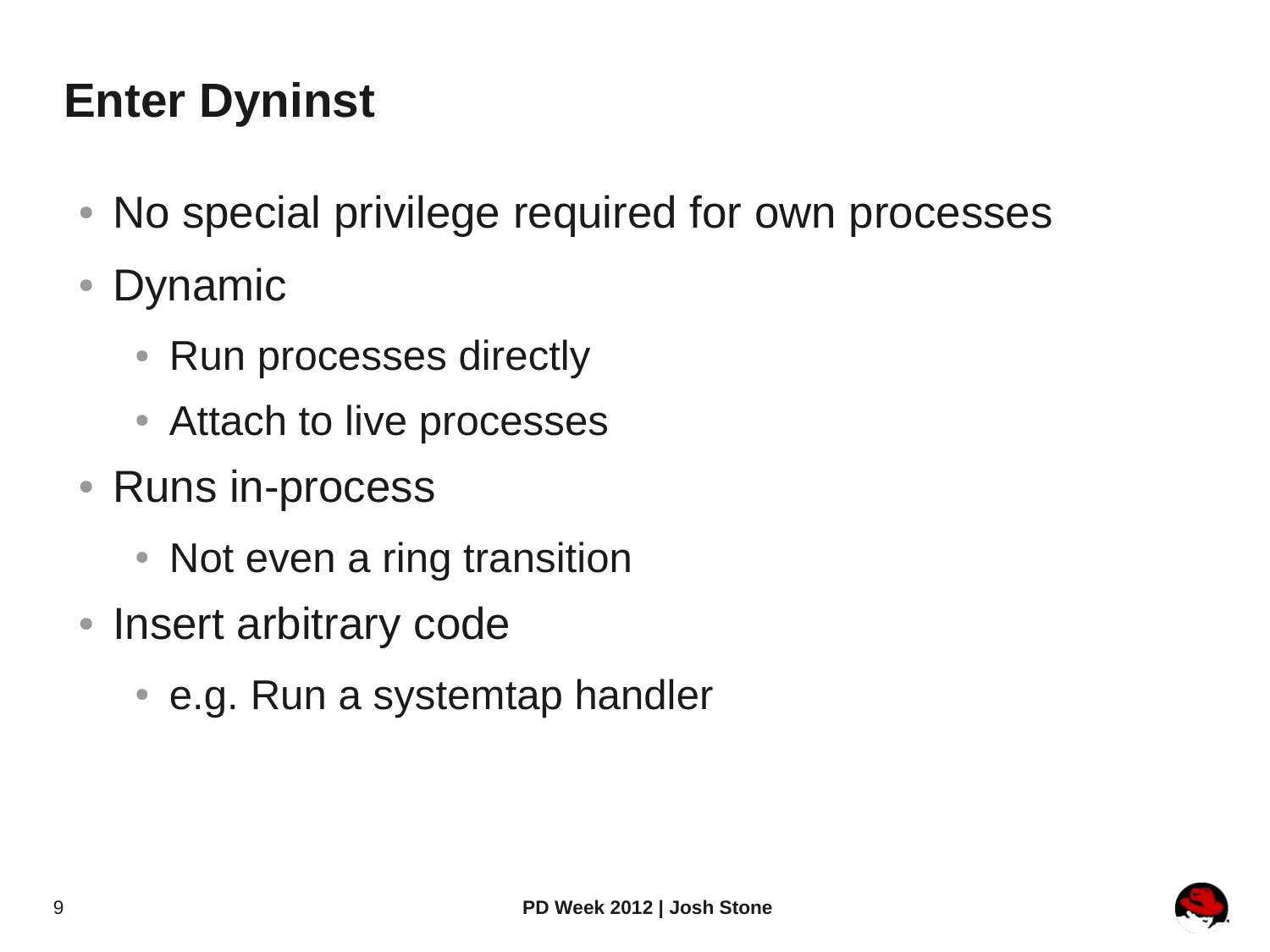# **Enter Dyninst**

- No special privilege required for own processes
- Dynamic
	- Run processes directly
	- Attach to live processes
- Runs in-process
	- Not even a ring transition
- Insert arbitrary code
	- e.g. Run a systemtap handler

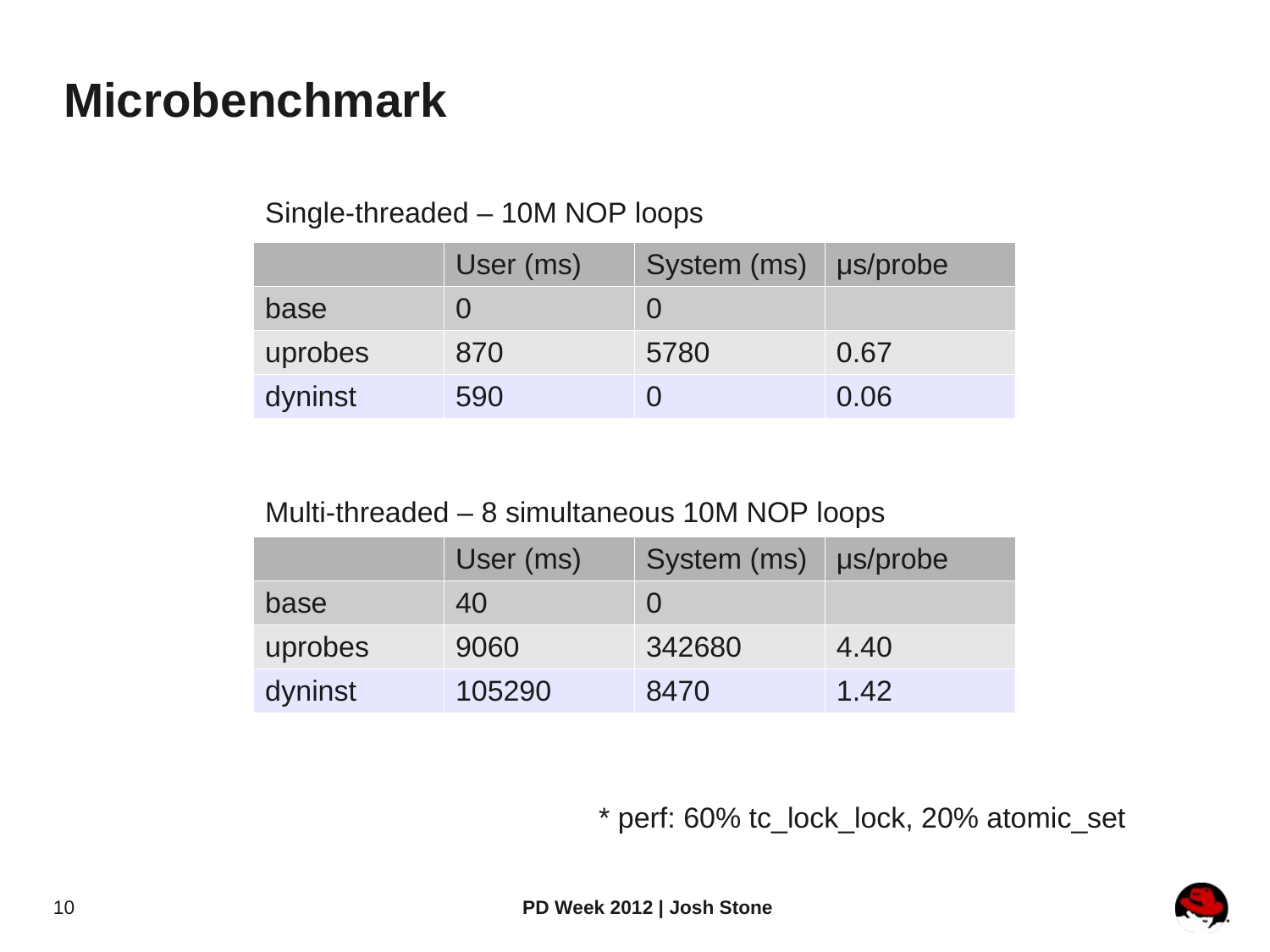### **Microbenchmark**

#### Single-threaded – 10M NOP loops

|         | User (ms) | System (ms) us/probe |      |
|---------|-----------|----------------------|------|
| base    |           |                      |      |
| uprobes | 870       | 5780                 | 0.67 |
| dyninst | 590       |                      | 0.06 |

#### Multi-threaded – 8 simultaneous 10M NOP loops

|         | User (ms) | System (ms) us/probe |      |
|---------|-----------|----------------------|------|
| base    | 40        |                      |      |
| uprobes | 9060      | 342680               | 4.40 |
| dyninst | 105290    | 8470                 | 1.42 |

\* perf: 60% tc\_lock\_lock, 20% atomic\_set

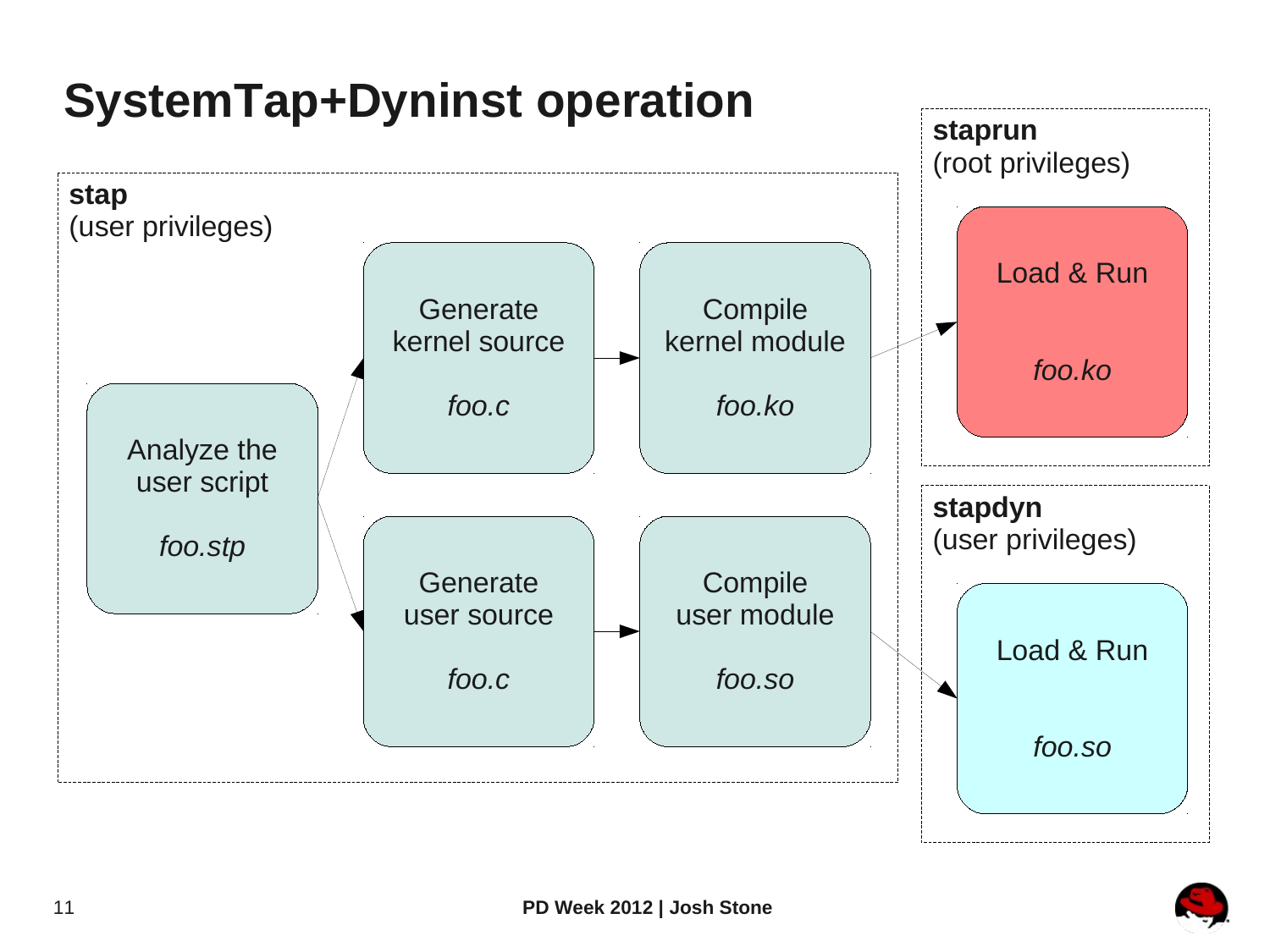

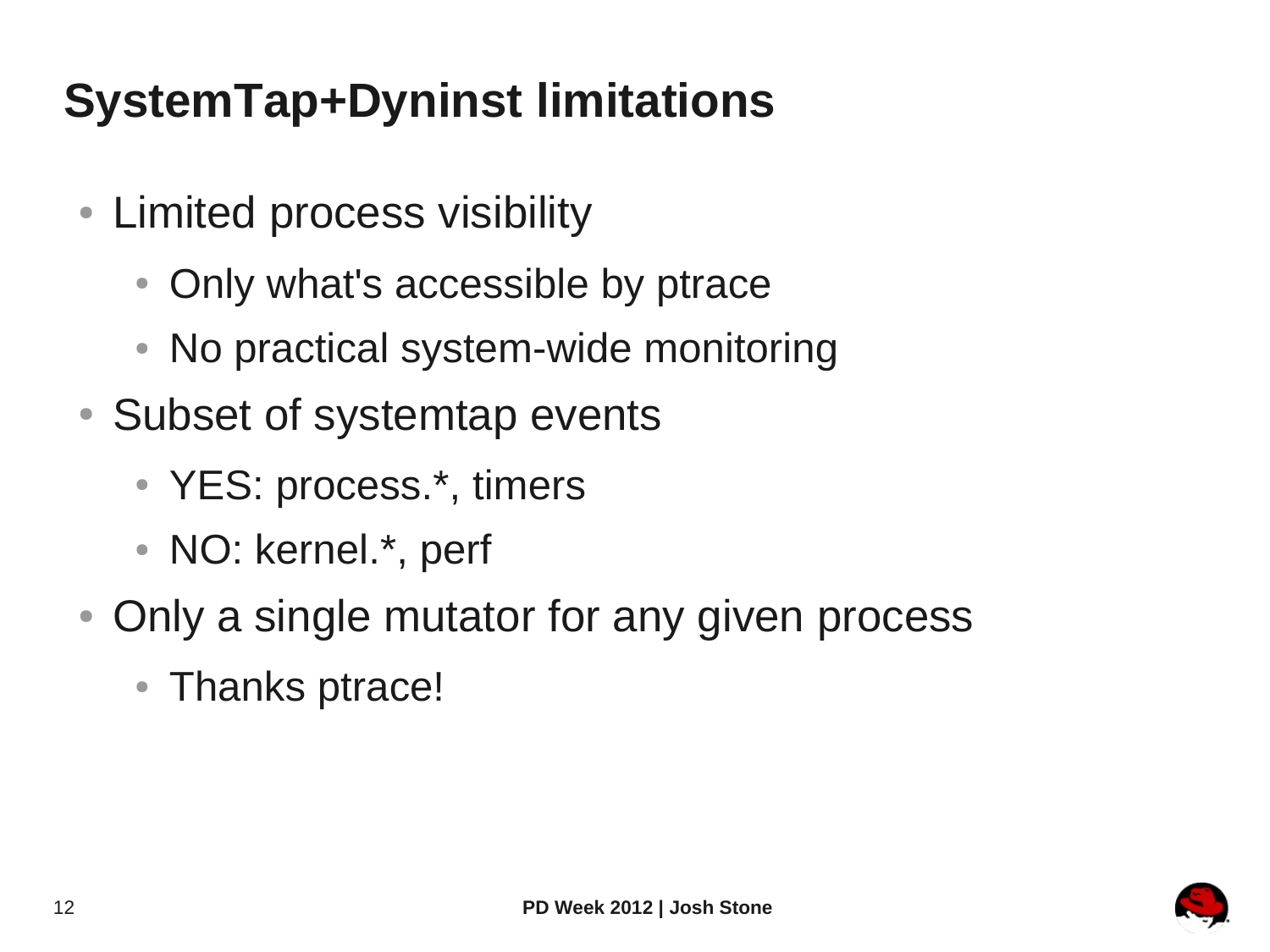# **SystemTap+Dyninst limitations**

- Limited process visibility
	- Only what's accessible by ptrace
	- No practical system-wide monitoring
- Subset of systemtap events
	- YES: process.\*, timers
	- NO: kernel.\*, perf
- Only a single mutator for any given process
	- Thanks ptrace!

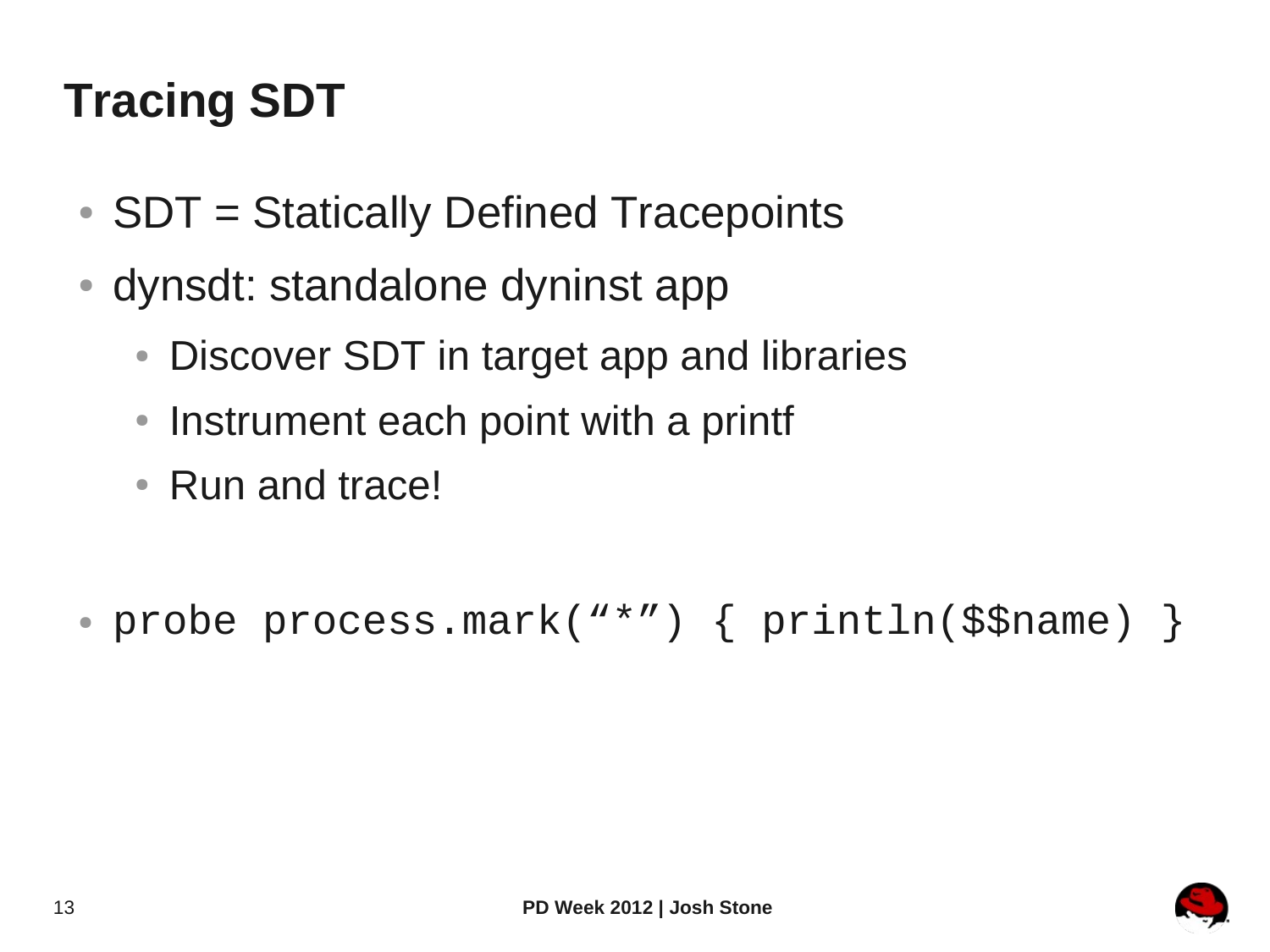# **Tracing SDT**

- SDT = Statically Defined Tracepoints
- dynsdt: standalone dyninst app
	- Discover SDT in target app and libraries
	- Instrument each point with a printf
	- Run and trace!
- probe process.mark( $"$ \*") { println(\$\$name) }

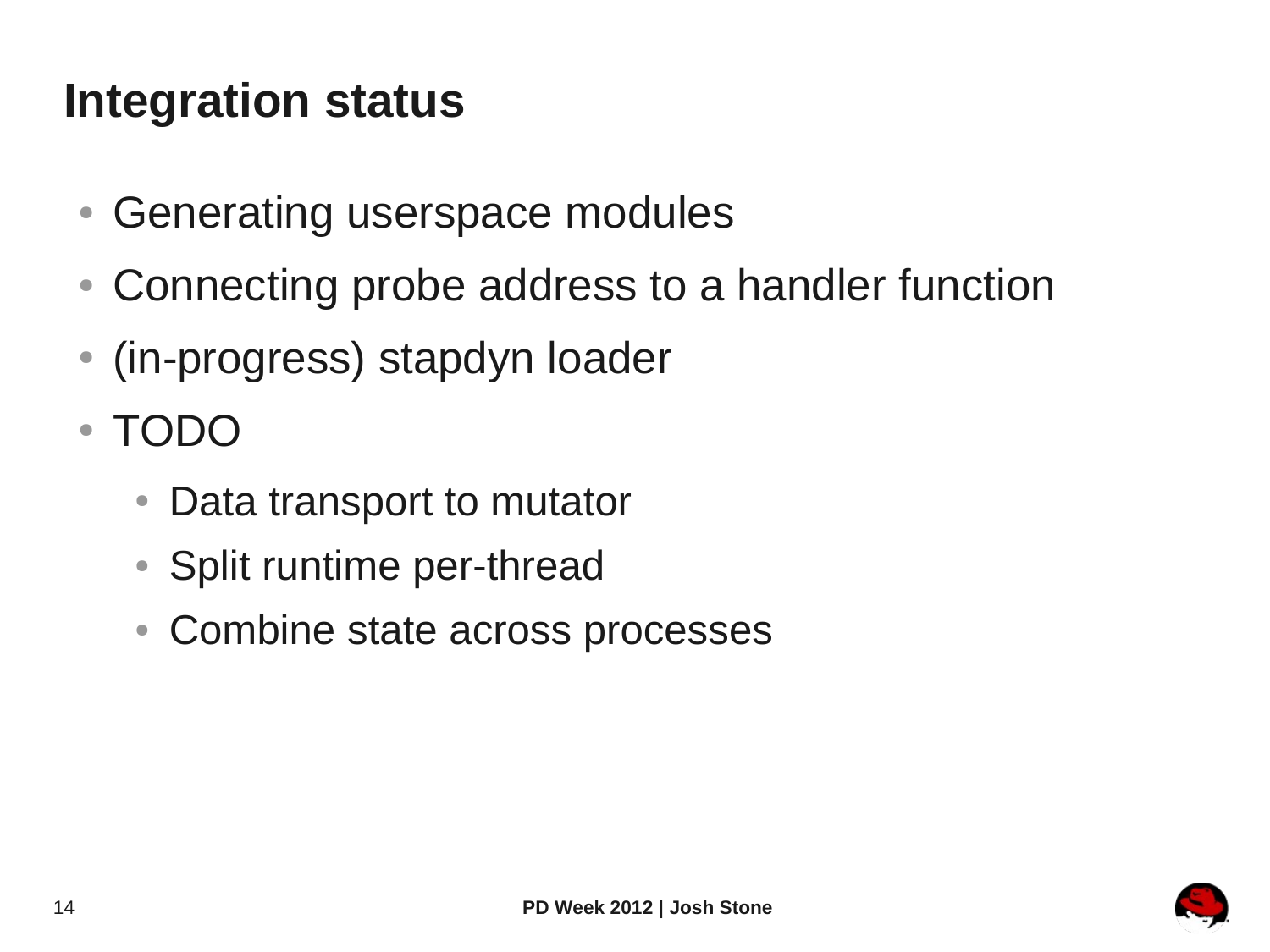# **Integration status**

- Generating userspace modules
- Connecting probe address to a handler function
- (in-progress) stapdyn loader
- TODO
	- Data transport to mutator
	- Split runtime per-thread
	- Combine state across processes

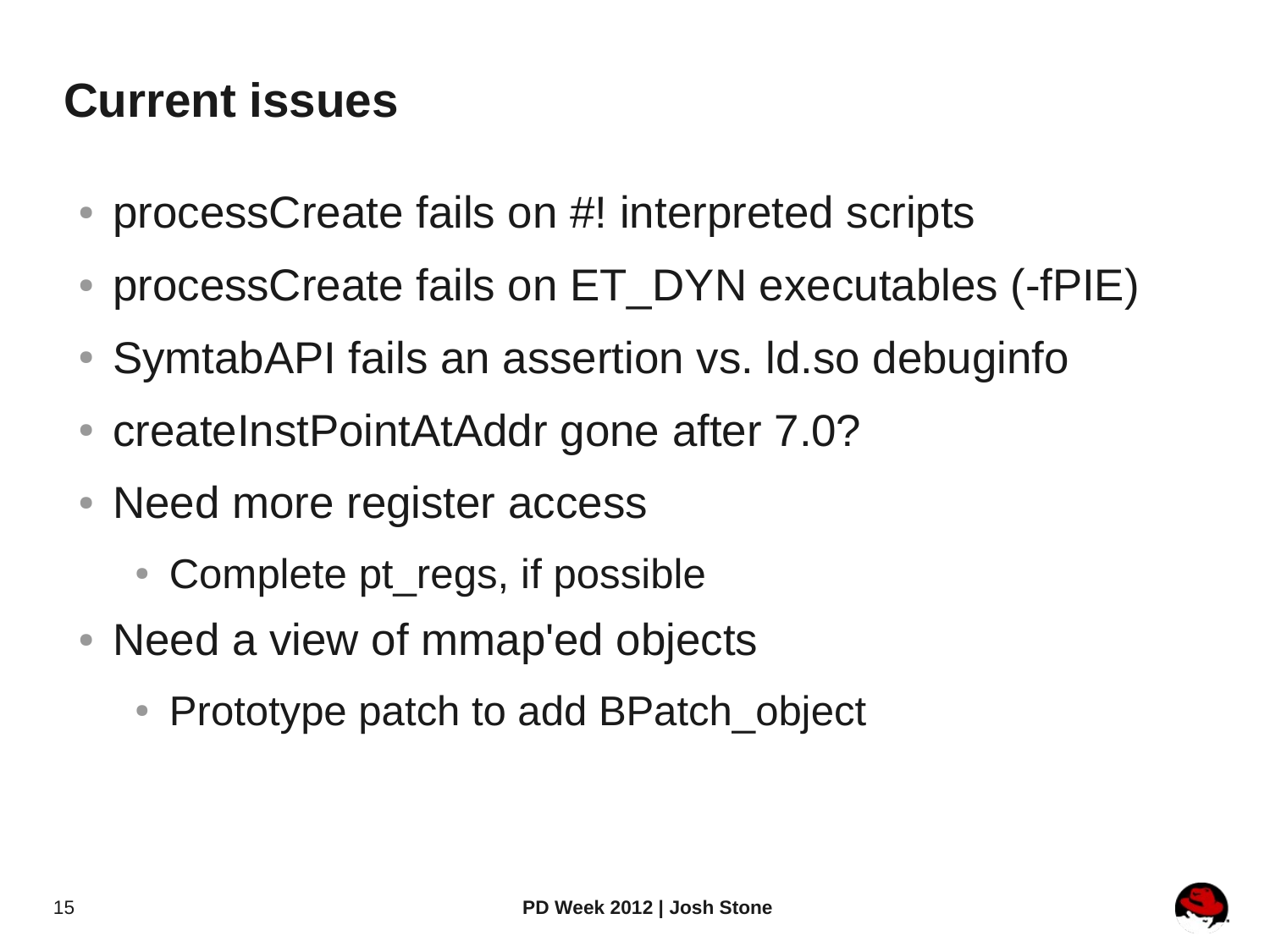### **Current issues**

- processCreate fails on #! interpreted scripts
- processCreate fails on ET DYN executables (-fPIE)
- SymtabAPI fails an assertion vs. Id.so debuginfo
- createInstPointAtAddr gone after 7.0?
- Need more register access
	- Complete pt\_regs, if possible
- Need a view of mmap'ed objects
	- Prototype patch to add BPatch object

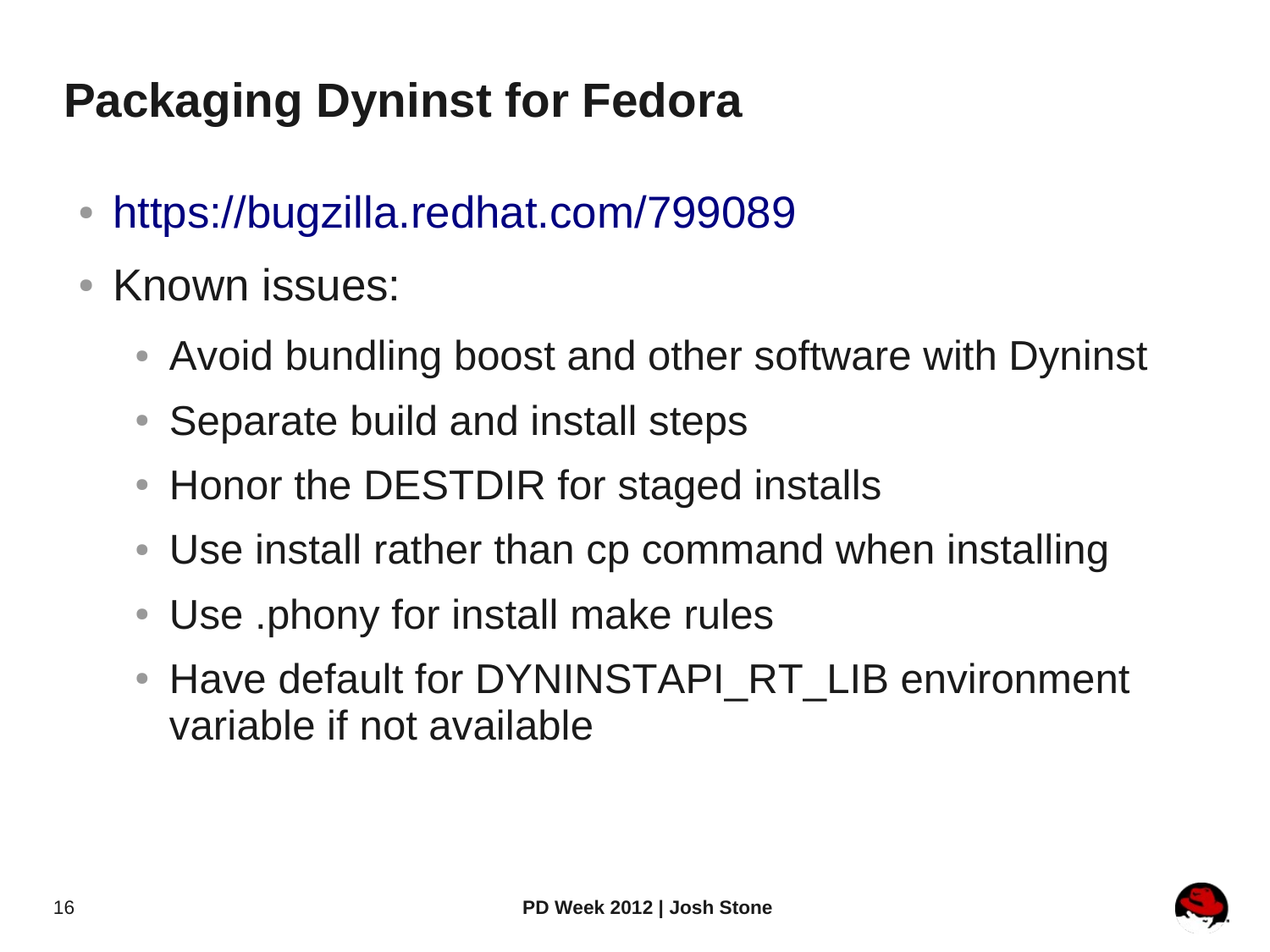# **Packaging Dyninst for Fedora**

- <https://bugzilla.redhat.com/799089>
- Known issues:
	- Avoid bundling boost and other software with Dyninst
	- Separate build and install steps
	- Honor the DESTDIR for staged installs
	- Use install rather than cp command when installing
	- Use .phony for install make rules
	- Have default for DYNINSTAPI\_RT\_LIB environment variable if not available

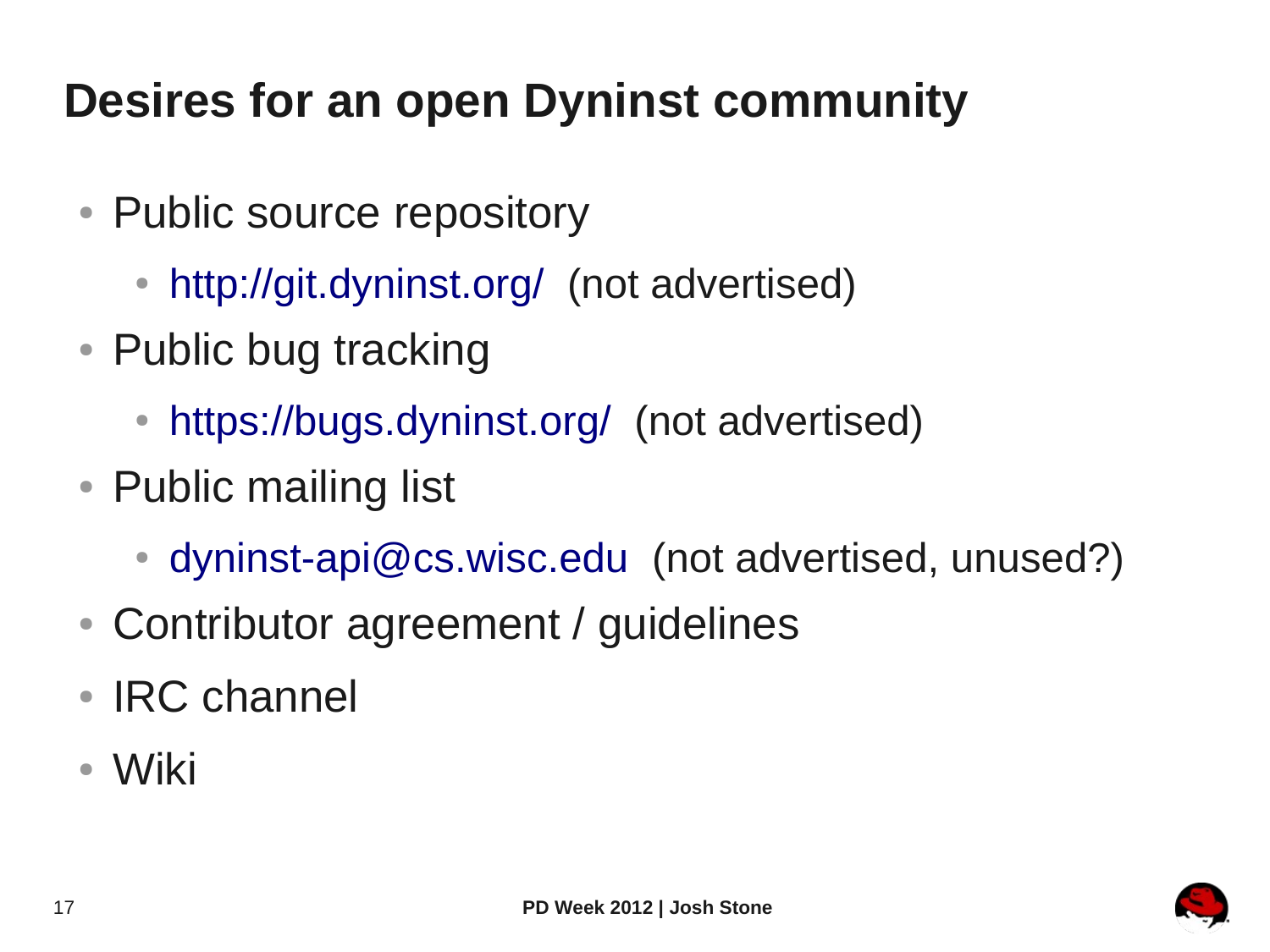# **Desires for an open Dyninst community**

- Public source repository
	- <http://git.dyninst.org/>(not advertised)
- Public bug tracking
	- <https://bugs.dyninst.org/>(not advertised)
- Public mailing list
	- [dyninst-api@cs.wisc.edu](mailto:dyninst-api@cs.wisc.edu) (not advertised, unused?)
- Contributor agreement / guidelines
- $\cdot$  IRC channel
- Wiki